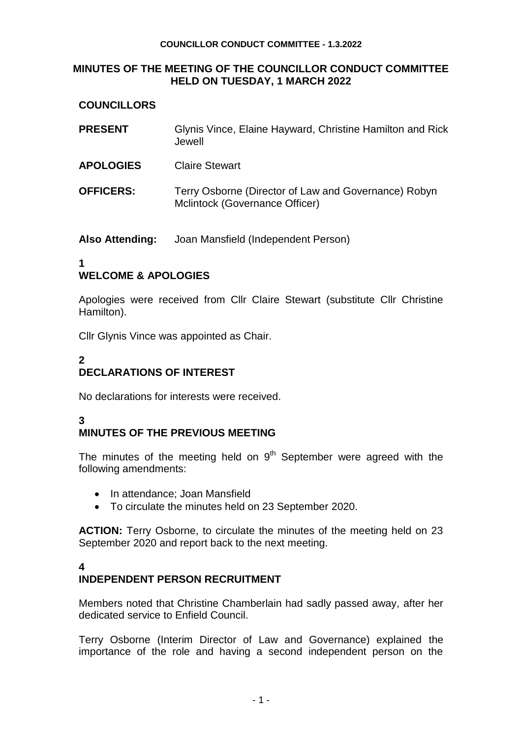#### **COUNCILLOR CONDUCT COMMITTEE - 1.3.2022**

## **MINUTES OF THE MEETING OF THE COUNCILLOR CONDUCT COMMITTEE HELD ON TUESDAY, 1 MARCH 2022**

## **COUNCILLORS**

| <b>PRESENT</b>   | Glynis Vince, Elaine Hayward, Christine Hamilton and Rick<br>Jewell                    |
|------------------|----------------------------------------------------------------------------------------|
| <b>APOLOGIES</b> | <b>Claire Stewart</b>                                                                  |
| <b>OFFICERS:</b> | Terry Osborne (Director of Law and Governance) Robyn<br>Mclintock (Governance Officer) |

**Also Attending:** Joan Mansfield (Independent Person)

## **1 WELCOME & APOLOGIES**

Apologies were received from Cllr Claire Stewart (substitute Cllr Christine Hamilton).

Cllr Glynis Vince was appointed as Chair.

## **2 DECLARATIONS OF INTEREST**

No declarations for interests were received.

#### **3 MINUTES OF THE PREVIOUS MEETING**

The minutes of the meeting held on  $9<sup>th</sup>$  September were agreed with the following amendments:

- In attendance: Joan Mansfield
- To circulate the minutes held on 23 September 2020.

**ACTION:** Terry Osborne, to circulate the minutes of the meeting held on 23 September 2020 and report back to the next meeting.

## **4**

# **INDEPENDENT PERSON RECRUITMENT**

Members noted that Christine Chamberlain had sadly passed away, after her dedicated service to Enfield Council.

Terry Osborne (Interim Director of Law and Governance) explained the importance of the role and having a second independent person on the